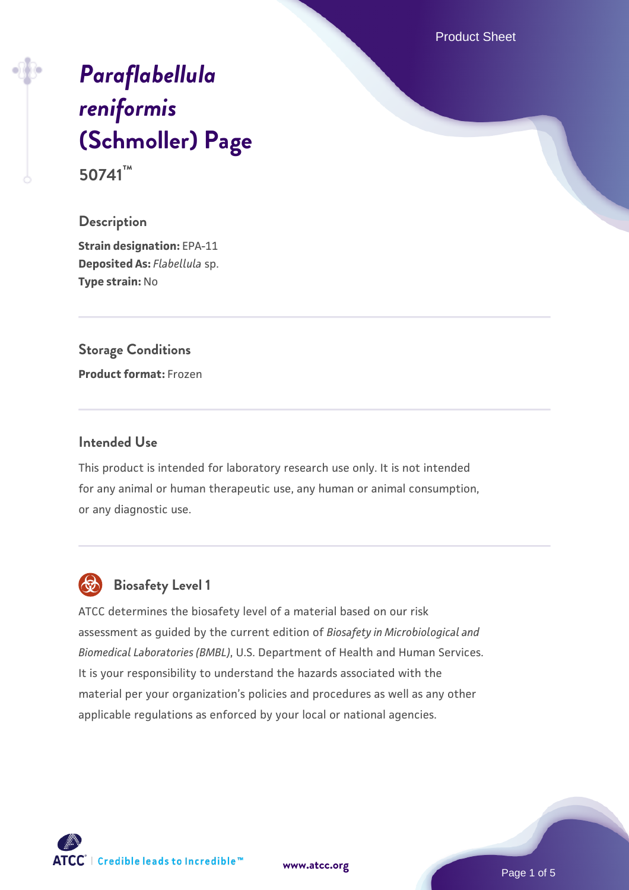Product Sheet

# *[Paraflabellula](https://www.atcc.org/products/50741) [reniformis](https://www.atcc.org/products/50741)* **[\(Schmoller\) Page](https://www.atcc.org/products/50741) 50741™**

#### **Description**

**Strain designation:** EPA-11 **Deposited As:** *Flabellula* sp. **Type strain:** No

# **Storage Conditions**

**Product format:** Frozen

#### **Intended Use**

This product is intended for laboratory research use only. It is not intended for any animal or human therapeutic use, any human or animal consumption, or any diagnostic use.



# **Biosafety Level 1**

ATCC determines the biosafety level of a material based on our risk assessment as guided by the current edition of *Biosafety in Microbiological and Biomedical Laboratories (BMBL)*, U.S. Department of Health and Human Services. It is your responsibility to understand the hazards associated with the material per your organization's policies and procedures as well as any other applicable regulations as enforced by your local or national agencies.

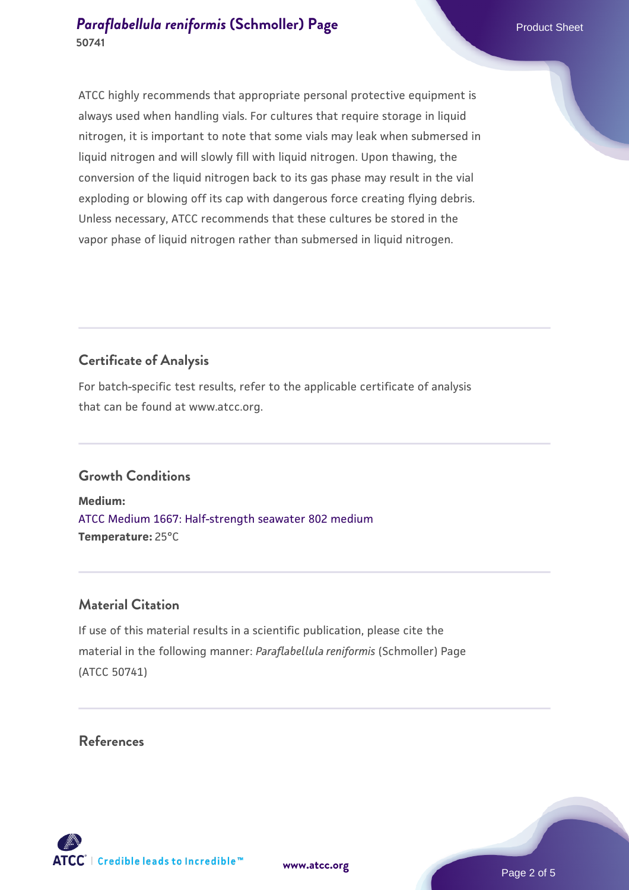ATCC highly recommends that appropriate personal protective equipment is always used when handling vials. For cultures that require storage in liquid nitrogen, it is important to note that some vials may leak when submersed in liquid nitrogen and will slowly fill with liquid nitrogen. Upon thawing, the conversion of the liquid nitrogen back to its gas phase may result in the vial exploding or blowing off its cap with dangerous force creating flying debris. Unless necessary, ATCC recommends that these cultures be stored in the vapor phase of liquid nitrogen rather than submersed in liquid nitrogen.

# **Certificate of Analysis**

For batch-specific test results, refer to the applicable certificate of analysis that can be found at www.atcc.org.

# **Growth Conditions**

**Medium:**  [ATCC Medium 1667: Half-strength seawater 802 medium](https://www.atcc.org/-/media/product-assets/documents/microbial-media-formulations/atcc-medium-1667.pdf?rev=e8b90ed1236f411ba650f64545b27e7b) **Temperature:** 25°C

## **Material Citation**

If use of this material results in a scientific publication, please cite the material in the following manner: *Paraflabellula reniformis* (Schmoller) Page (ATCC 50741)

#### **References**

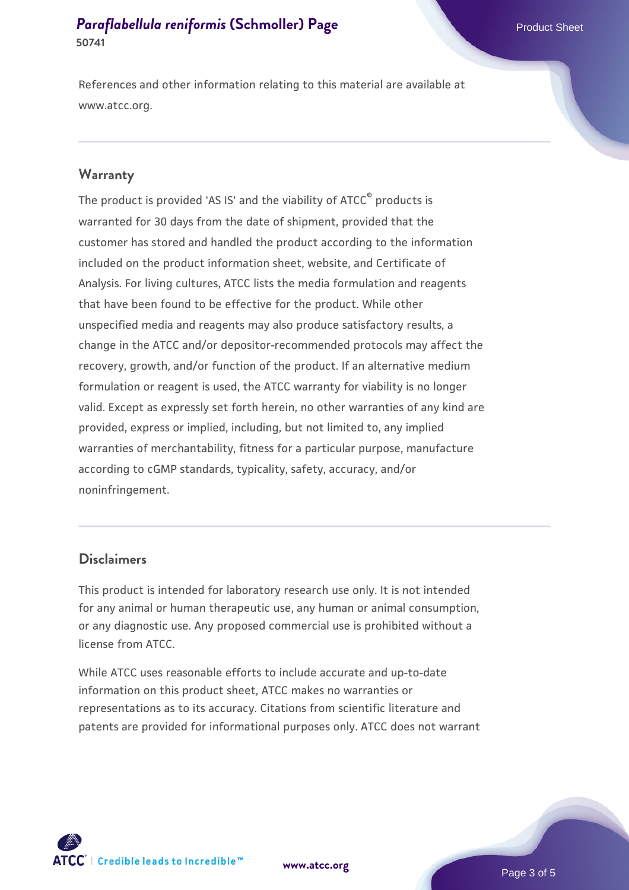References and other information relating to this material are available at www.atcc.org.

#### **Warranty**

The product is provided 'AS IS' and the viability of ATCC® products is warranted for 30 days from the date of shipment, provided that the customer has stored and handled the product according to the information included on the product information sheet, website, and Certificate of Analysis. For living cultures, ATCC lists the media formulation and reagents that have been found to be effective for the product. While other unspecified media and reagents may also produce satisfactory results, a change in the ATCC and/or depositor-recommended protocols may affect the recovery, growth, and/or function of the product. If an alternative medium formulation or reagent is used, the ATCC warranty for viability is no longer valid. Except as expressly set forth herein, no other warranties of any kind are provided, express or implied, including, but not limited to, any implied warranties of merchantability, fitness for a particular purpose, manufacture according to cGMP standards, typicality, safety, accuracy, and/or noninfringement.

#### **Disclaimers**

This product is intended for laboratory research use only. It is not intended for any animal or human therapeutic use, any human or animal consumption, or any diagnostic use. Any proposed commercial use is prohibited without a license from ATCC.

While ATCC uses reasonable efforts to include accurate and up-to-date information on this product sheet, ATCC makes no warranties or representations as to its accuracy. Citations from scientific literature and patents are provided for informational purposes only. ATCC does not warrant



**[www.atcc.org](http://www.atcc.org)**

Page 3 of 5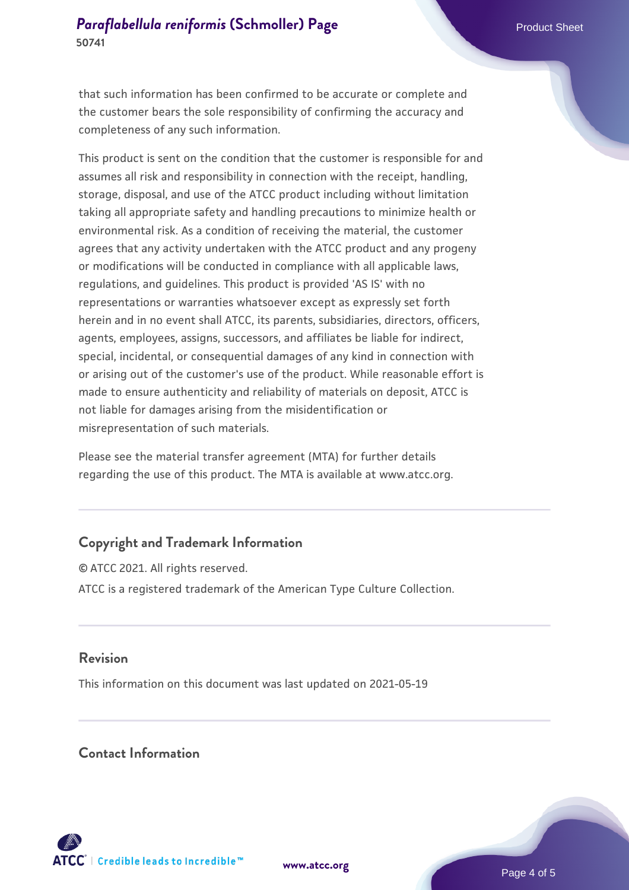that such information has been confirmed to be accurate or complete and the customer bears the sole responsibility of confirming the accuracy and completeness of any such information.

This product is sent on the condition that the customer is responsible for and assumes all risk and responsibility in connection with the receipt, handling, storage, disposal, and use of the ATCC product including without limitation taking all appropriate safety and handling precautions to minimize health or environmental risk. As a condition of receiving the material, the customer agrees that any activity undertaken with the ATCC product and any progeny or modifications will be conducted in compliance with all applicable laws, regulations, and guidelines. This product is provided 'AS IS' with no representations or warranties whatsoever except as expressly set forth herein and in no event shall ATCC, its parents, subsidiaries, directors, officers, agents, employees, assigns, successors, and affiliates be liable for indirect, special, incidental, or consequential damages of any kind in connection with or arising out of the customer's use of the product. While reasonable effort is made to ensure authenticity and reliability of materials on deposit, ATCC is not liable for damages arising from the misidentification or misrepresentation of such materials.

Please see the material transfer agreement (MTA) for further details regarding the use of this product. The MTA is available at www.atcc.org.

# **Copyright and Trademark Information**

© ATCC 2021. All rights reserved. ATCC is a registered trademark of the American Type Culture Collection.

#### **Revision**

This information on this document was last updated on 2021-05-19

#### **Contact Information**



**[www.atcc.org](http://www.atcc.org)**